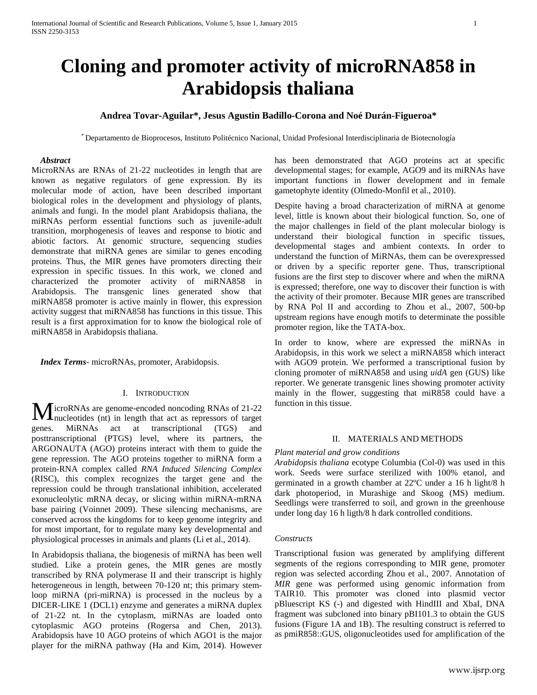# **Cloning and promoter activity of microRNA858 in Arabidopsis thaliana**

# **Andrea Tovar-Aguilar\*, Jesus Agustin Badillo-Corona and Noé Durán-Figueroa\***

\* Departamento de Bioprocesos, Instituto Politécnico Nacional, Unidad Profesional Interdisciplinaria de Biotecnología

## *Abstract*

MicroRNAs are RNAs of 21-22 nucleotides in length that are known as negative regulators of gene expression. By its molecular mode of action, have been described important biological roles in the development and physiology of plants, animals and fungi. In the model plant Arabidopsis thaliana, the miRNAs perform essential functions such as juvenile-adult transition, morphogenesis of leaves and response to biotic and abiotic factors. At genomic structure, sequencing studies demonstrate that miRNA genes are similar to genes encoding proteins. Thus, the MIR genes have promoters directing their expression in specific tissues. In this work, we cloned and characterized the promoter activity of miRNA858 in Arabidopsis. The transgenic lines generated show that miRNA858 promoter is active mainly in flower, this expression activity suggest that miRNA858 has functions in this tissue. This result is a first approximation for to know the biological role of miRNA858 in Arabidopsis thaliana.

 *Index Terms*- microRNAs, promoter, Arabidopsis.

#### I. INTRODUCTION

icroRNAs are genome-encoded noncoding RNAs of 21-22 nucleotides (nt) in length that act as repressors of target genes. MiRNAs act at transcriptional (TGS) and posttranscriptional (PTGS) level, where its partners, the ARGONAUTA (AGO) proteins interact with them to guide the gene repression. The AGO proteins together to miRNA form a protein-RNA complex called *RNA Induced Silencing Complex* (RISC), this complex recognizes the target gene and the repression could be through translational inhibition, accelerated exonucleolytic mRNA decay, or slicing within miRNA-mRNA base pairing (Voinnet 2009). These silencing mechanisms, are conserved across the kingdoms for to keep genome integrity and for most important, for to regulate many key developmental and physiological processes in animals and plants (Li et al., 2014). M

In Arabidopsis thaliana, the biogenesis of miRNA has been well studied. Like a protein genes, the MIR genes are mostly transcribed by RNA polymerase II and their transcript is highly heterogeneous in length, between 70-120 nt; this primary stemloop miRNA (pri-miRNA) is processed in the nucleus by a DICER-LIKE 1 (DCL1) enzyme and generates a miRNA duplex of 21-22 nt. In the cytoplasm, miRNAs are loaded onto cytoplasmic AGO proteins (Rogersa and Chen, 2013). Arabidopsis have 10 AGO proteins of which AGO1 is the major player for the miRNA pathway (Ha and Kim, 2014). However

has been demonstrated that AGO proteins act at specific developmental stages; for example, AGO9 and its miRNAs have important functions in flower development and in female gametophyte identity (Olmedo-Monfil et al., 2010).

Despite having a broad characterization of miRNA at genome level, little is known about their biological function. So, one of the major challenges in field of the plant molecular biology is understand their biological function in specific tissues, developmental stages and ambient contexts. In order to understand the function of MiRNAs, them can be overexpressed or driven by a specific reporter gene. Thus, transcriptional fusions are the first step to discover where and when the miRNA is expressed; therefore, one way to discover their function is with the activity of their promoter. Because MIR genes are transcribed by RNA Pol II and according to Zhou et al., 2007, 500-bp upstream regions have enough motifs to determinate the possible promoter region, like the TATA-box.

In order to know, where are expressed the miRNAs in Arabidopsis, in this work we select a miRNA858 which interact with AGO9 protein. We performed a transcriptional fusion by cloning promoter of miRNA858 and using *uidA* gen (GUS) like reporter. We generate transgenic lines showing promoter activity mainly in the flower, suggesting that miR858 could have a function in this tissue.

## II. MATERIALS AND METHODS

#### *Plant material and grow conditions*

*Arabidopsis thaliana* ecotype Columbia (Col-0) was used in this work. Seeds were surface sterilized with 100% etanol, and germinated in a growth chamber at 22ºC under a 16 h light/8 h dark photoperiod, in Murashige and Skoog (MS) medium. Seedlings were transferred to soil, and grown in the greenhouse under long day 16 h ligth/8 h dark controlled conditions.

#### *Constructs*

Transcriptional fusion was generated by amplifying different segments of the regions corresponding to MIR gene, promoter region was selected according Zhou et al., 2007. Annotation of *MIR* gene was performed using genomic information from TAIR10. This promoter was cloned into plasmid vector pBluescript KS (-) and digested with HindIII and XbaI, DNA fragment was subcloned into binary pBI101.3 to obtain the GUS fusions (Figure 1A and 1B). The resulting construct is referred to as pmiR858::GUS, oligonucleotides used for amplification of the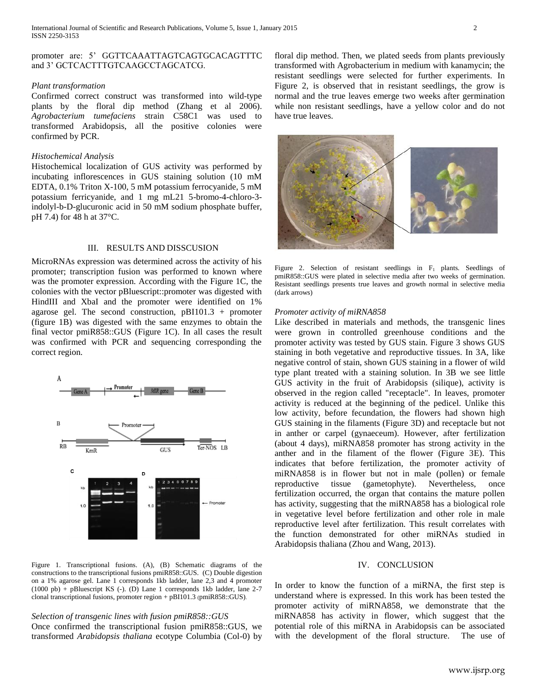## promoter are: 5' GGTTCAAATTAGTCAGTGCACAGTTTC and 3' GCTCACTTTGTCAAGCCTAGCATCG.

## *Plant transformation*

Confirmed correct construct was transformed into wild-type plants by the floral dip method (Zhang et al 2006). *Agrobacterium tumefaciens* strain C58C1 was used to transformed Arabidopsis, all the positive colonies were confirmed by PCR.

#### *Histochemical Analysis*

Histochemical localization of GUS activity was performed by incubating inflorescences in GUS staining solution (10 mM EDTA, 0.1% Triton X-100, 5 mM potassium ferrocyanide, 5 mM potassium ferricyanide, and 1 mg mL21 5-bromo-4-chloro-3 indolyl-b-D-glucuronic acid in 50 mM sodium phosphate buffer, pH 7.4) for 48 h at 37°C.

### III. RESULTS AND DISSCUSION

MicroRNAs expression was determined across the activity of his promoter; transcription fusion was performed to known where was the promoter expression. According with the Figure 1C, the colonies with the vector pBluescript::promoter was digested with HindIII and XbaI and the promoter were identified on 1% agarose gel. The second construction, pBI101.3 + promoter (figure 1B) was digested with the same enzymes to obtain the final vector pmiR858::GUS (Figure 1C). In all cases the result was confirmed with PCR and sequencing corresponding the correct region.



Figure 1. Transcriptional fusions. (A), (B) Schematic diagrams of the constructions to the transcriptional fusions pmiR858::GUS. (C) Double digestion on a 1% agarose gel. Lane 1 corresponds 1kb ladder, lane 2,3 and 4 promoter (1000 pb) + pBluescript KS (-). (D) Lane 1 corresponds 1kb ladder, lane 2-7 clonal transcriptional fusions, promoter region + pBI101.3 (pmiR858::GUS).

## *Selection of transgenic lines with fusion pmiR858::GUS*

Once confirmed the transcriptional fusion pmiR858::GUS, we transformed *Arabidopsis thaliana* ecotype Columbia (Col-0) by floral dip method. Then, we plated seeds from plants previously transformed with Agrobacterium in medium with kanamycin; the resistant seedlings were selected for further experiments. In Figure 2, is observed that in resistant seedlings, the grow is normal and the true leaves emerge two weeks after germination while non resistant seedlings, have a yellow color and do not have true leaves.



Figure 2. Selection of resistant seedlings in  $F_1$  plants. Seedlings of pmiR858::GUS were plated in selective media after two weeks of germination. Resistant seedlings presents true leaves and growth normal in selective media (dark arrows)

#### *Promoter activity of miRNA858*

Like described in materials and methods, the transgenic lines were grown in controlled greenhouse conditions and the promoter activity was tested by GUS stain. Figure 3 shows GUS staining in both vegetative and reproductive tissues. In 3A, like negative control of stain, shown GUS staining in a flower of wild type plant treated with a staining solution. In 3B we see little GUS activity in the fruit of Arabidopsis (silique), activity is observed in the region called "receptacle". In leaves, promoter activity is reduced at the beginning of the pedicel. Unlike this low activity, before fecundation, the flowers had shown high GUS staining in the filaments (Figure 3D) and receptacle but not in anther or carpel (gynaeceum). However, after fertilization (about 4 days), miRNA858 promoter has strong activity in the anther and in the filament of the flower (Figure 3E). This indicates that before fertilization, the promoter activity of miRNA858 is in flower but not in male (pollen) or female reproductive tissue (gametophyte). Nevertheless, once fertilization occurred, the organ that contains the mature pollen has activity, suggesting that the miRNA858 has a biological role in vegetative level before fertilization and other role in male reproductive level after fertilization. This result correlates with the function demonstrated for other miRNAs studied in Arabidopsis thaliana (Zhou and Wang, 2013).

#### IV. CONCLUSION

In order to know the function of a miRNA, the first step is understand where is expressed. In this work has been tested the promoter activity of miRNA858, we demonstrate that the miRNA858 has activity in flower, which suggest that the potential role of this miRNA in Arabidopsis can be associated with the development of the floral structure. The use of